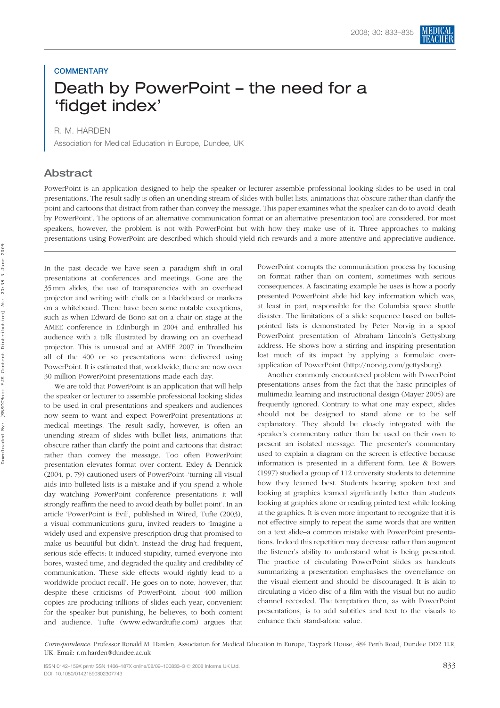# **COMMENTARY** Death by PowerPoint – the need for a 'fidget index'

#### R. M. HARDEN

Association for Medical Education in Europe, Dundee, UK

### Abstract

PowerPoint is an application designed to help the speaker or lecturer assemble professional looking slides to be used in oral presentations. The result sadly is often an unending stream of slides with bullet lists, animations that obscure rather than clarify the point and cartoons that distract from rather than convey the message. This paper examines what the speaker can do to avoid 'death by PowerPoint'. The options of an alternative communication format or an alternative presentation tool are considered. For most speakers, however, the problem is not with PowerPoint but with how they make use of it. Three approaches to making presentations using PowerPoint are described which should yield rich rewards and a more attentive and appreciative audience.

In the past decade we have seen a paradigm shift in oral presentations at conferences and meetings. Gone are the 35 mm slides, the use of transparencies with an overhead projector and writing with chalk on a blackboard or markers on a whiteboard. There have been some notable exceptions, such as when Edward de Bono sat on a chair on stage at the AMEE conference in Edinburgh in 2004 and enthralled his audience with a talk illustrated by drawing on an overhead projector. This is unusual and at AMEE 2007 in Trondheim all of the 400 or so presentations were delivered using PowerPoint. It is estimated that, worldwide, there are now over 30 million PowerPoint presentations made each day.

We are told that PowerPoint is an application that will help the speaker or lecturer to assemble professional looking slides to be used in oral presentations and speakers and audiences now seem to want and expect PowerPoint presentations at medical meetings. The result sadly, however, is often an unending stream of slides with bullet lists, animations that obscure rather than clarify the point and cartoons that distract rather than convey the message. Too often PowerPoint presentation elevates format over content. Exley & Dennick (2004, p. 79) cautioned users of PowerPoint–'turning all visual aids into bulleted lists is a mistake and if you spend a whole day watching PowerPoint conference presentations it will strongly reaffirm the need to avoid death by bullet point'. In an article 'PowerPoint is Evil', published in Wired, Tufte (2003), a visual communications guru, invited readers to 'Imagine a widely used and expensive prescription drug that promised to make us beautiful but didn't. Instead the drug had frequent, serious side effects: It induced stupidity, turned everyone into bores, wasted time, and degraded the quality and credibility of communication. These side effects would rightly lead to a worldwide product recall'. He goes on to note, however, that despite these criticisms of PowerPoint, about 400 million copies are producing trillions of slides each year, convenient for the speaker but punishing, he believes, to both content and audience. Tufte (www.edwardtufte.com) argues that

PowerPoint corrupts the communication process by focusing on format rather than on content, sometimes with serious consequences. A fascinating example he uses is how a poorly presented PowerPoint slide hid key information which was, at least in part, responsible for the Columbia space shuttle disaster. The limitations of a slide sequence based on bulletpointed lists is demonstrated by Peter Norvig in a spoof PowerPoint presentation of Abraham Lincoln's Gettysburg address. He shows how a stirring and inspiring presentation lost much of its impact by applying a formulaic overapplication of PowerPoint (http://norvig.com/gettysburg).

Another commonly encountered problem with PowerPoint presentations arises from the fact that the basic principles of multimedia learning and instructional design (Mayer 2005) are frequently ignored. Contrary to what one may expect, slides should not be designed to stand alone or to be self explanatory. They should be closely integrated with the speaker's commentary rather than be used on their own to present an isolated message. The presenter's commentary used to explain a diagram on the screen is effective because information is presented in a different form. Lee & Bowers (1997) studied a group of 112 university students to determine how they learned best. Students hearing spoken text and looking at graphics learned significantly better than students looking at graphics alone or reading printed text while looking at the graphics. It is even more important to recognize that it is not effective simply to repeat the same words that are written on a text slide–a common mistake with PowerPoint presentations. Indeed this repetition may decrease rather than augment the listener's ability to understand what is being presented. The practice of circulating PowerPoint slides as handouts summarizing a presentation emphasises the overreliance on the visual element and should be discouraged. It is akin to circulating a video disc of a film with the visual but no audio channel recorded. The temptation then, as with PowerPoint presentations, is to add subtitles and text to the visuals to enhance their stand-alone value.

Correspondence: Professor Ronald M. Harden, Association for Medical Education in Europe, Taypark House, 484 Perth Road, Dundee DD2 1LR, UK. Email: r.m.harden@dundee.ac.uk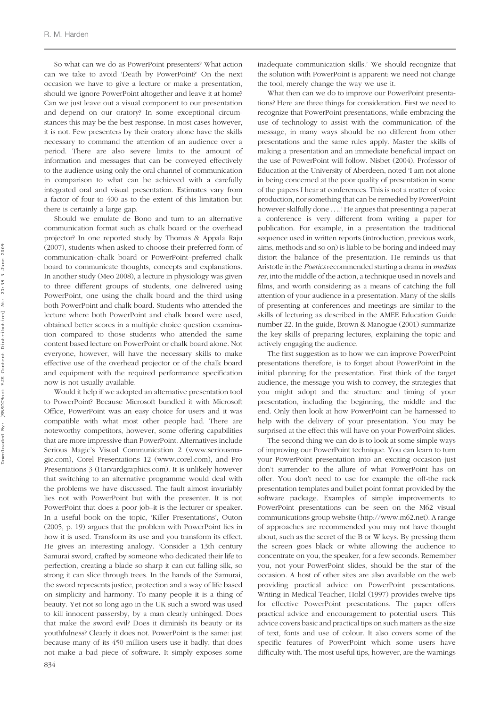So what can we do as PowerPoint presenters? What action can we take to avoid 'Death by PowerPoint?' On the next occasion we have to give a lecture or make a presentation, should we ignore PowerPoint altogether and leave it at home? Can we just leave out a visual component to our presentation and depend on our oratory? In some exceptional circumstances this may be the best response. In most cases however, it is not. Few presenters by their oratory alone have the skills necessary to command the attention of an audience over a period. There are also severe limits to the amount of information and messages that can be conveyed effectively to the audience using only the oral channel of communication in comparison to what can be achieved with a carefully integrated oral and visual presentation. Estimates vary from a factor of four to 400 as to the extent of this limitation but there is certainly a large gap.

Should we emulate de Bono and turn to an alternative communication format such as chalk board or the overhead projector? In one reported study by Thomas & Appala Raju (2007), students when asked to choose their preferred form of communication–chalk board or PowerPoint–preferred chalk board to communicate thoughts, concepts and explanations. In another study (Meo 2008), a lecture in physiology was given to three different groups of students, one delivered using PowerPoint, one using the chalk board and the third using both PowerPoint and chalk board. Students who attended the lecture where both PowerPoint and chalk board were used, obtained better scores in a multiple choice question examination compared to those students who attended the same content based lecture on PowerPoint or chalk board alone. Not everyone, however, will have the necessary skills to make effective use of the overhead projector or of the chalk board and equipment with the required performance specification now is not usually available.

Would it help if we adopted an alternative presentation tool to PowerPoint? Because Microsoft bundled it with Microsoft Office, PowerPoint was an easy choice for users and it was compatible with what most other people had. There are noteworthy competitors, however, some offering capabilities that are more impressive than PowerPoint. Alternatives include Serious Magic's Visual Communication 2 (www.seriousmagic.com), Corel Presentations 12 (www.corel.com), and Pro Presentations 3 (Harvardgraphics.com). It is unlikely however that switching to an alternative programme would deal with the problems we have discussed. The fault almost invariably lies not with PowerPoint but with the presenter. It is not PowerPoint that does a poor job–it is the lecturer or speaker. In a useful book on the topic, 'Killer Presentations', Outon (2005, p. 19) argues that the problem with PowerPoint lies in how it is used. Transform its use and you transform its effect. He gives an interesting analogy. 'Consider a 13th century Samurai sword, crafted by someone who dedicated their life to perfection, creating a blade so sharp it can cut falling silk, so strong it can slice through trees. In the hands of the Samurai, the sword represents justice, protection and a way of life based on simplicity and harmony. To many people it is a thing of beauty. Yet not so long ago in the UK such a sword was used to kill innocent passersby, by a man clearly unhinged. Does that make the sword evil? Does it diminish its beauty or its youthfulness? Clearly it does not. PowerPoint is the same: just because many of its 450 million users use it badly, that does not make a bad piece of software. It simply exposes some 834

inadequate communication skills.' We should recognize that the solution with PowerPoint is apparent: we need not change the tool, merely change the way we use it.

What then can we do to improve our PowerPoint presentations? Here are three things for consideration. First we need to recognize that PowerPoint presentations, while embracing the use of technology to assist with the communication of the message, in many ways should be no different from other presentations and the same rules apply. Master the skills of making a presentation and an immediate beneficial impact on the use of PowerPoint will follow. Nisbet (2004), Professor of Education at the University of Aberdeen, noted 'I am not alone in being concerned at the poor quality of presentation in some of the papers I hear at conferences. This is not a matter of voice production, nor something that can be remedied by PowerPoint however skilfully done ....' He argues that presenting a paper at a conference is very different from writing a paper for publication. For example, in a presentation the traditional sequence used in written reports (introduction, previous work, aims, methods and so on) is liable to be boring and indeed may distort the balance of the presentation. He reminds us that Aristotle in the Poetics recommended starting a drama in medias res, into the middle of the action, a technique used in novels and films, and worth considering as a means of catching the full attention of your audience in a presentation. Many of the skills of presenting at conferences and meetings are similar to the skills of lecturing as described in the AMEE Education Guide number 22. In the guide, Brown & Manogue (2001) summarize the key skills of preparing lectures, explaining the topic and actively engaging the audience.

The first suggestion as to how we can improve PowerPoint presentations therefore, is to forget about PowerPoint in the initial planning for the presentation. First think of the target audience, the message you wish to convey, the strategies that you might adopt and the structure and timing of your presentation, including the beginning, the middle and the end. Only then look at how PowerPoint can be harnessed to help with the delivery of your presentation. You may be surprised at the effect this will have on your PowerPoint slides.

The second thing we can do is to look at some simple ways of improving our PowerPoint technique. You can learn to turn your PowerPoint presentation into an exciting occasion–just don't surrender to the allure of what PowerPoint has on offer. You don't need to use for example the off-the rack presentation templates and bullet point format provided by the software package. Examples of simple improvements to PowerPoint presentations can be seen on the M62 visual communications group website (http://www.m62.net). A range of approaches are recommended you may not have thought about, such as the secret of the B or W keys. By pressing them the screen goes black or white allowing the audience to concentrate on you, the speaker, for a few seconds. Remember you, not your PowerPoint slides, should be the star of the occasion. A host of other sites are also available on the web providing practical advice on PowerPoint presentations. Writing in Medical Teacher, Holzl (1997) provides twelve tips for effective PowerPoint presentations. The paper offers practical advice and encouragement to potential users. This advice covers basic and practical tips on such matters as the size of text, fonts and use of colour. It also covers some of the specific features of PowerPoint which some users have difficulty with. The most useful tips, however, are the warnings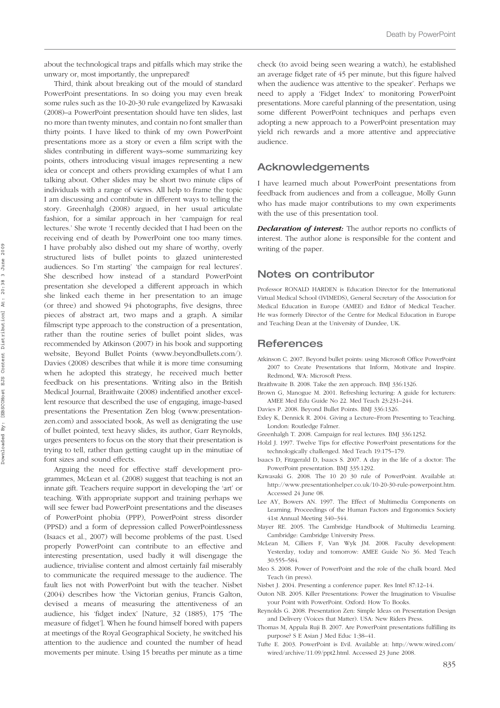about the technological traps and pitfalls which may strike the unwary or, most importantly, the unprepared!

Third, think about breaking out of the mould of standard PowerPoint presentations. In so doing you may even break some rules such as the 10-20-30 rule evangelized by Kawasaki (2008)–a PowerPoint presentation should have ten slides, last no more than twenty minutes, and contain no font smaller than thirty points. I have liked to think of my own PowerPoint presentations more as a story or even a film script with the slides contributing in different ways–some summarizing key points, others introducing visual images representing a new idea or concept and others providing examples of what I am talking about. Other slides may be short two minute clips of individuals with a range of views. All help to frame the topic I am discussing and contribute in different ways to telling the story. Greenhalgh (2008) argued, in her usual articulate fashion, for a similar approach in her 'campaign for real lectures.' She wrote 'I recently decided that I had been on the receiving end of death by PowerPoint one too many times. I have probably also dished out my share of worthy, overly structured lists of bullet points to glazed uninterested audiences. So I'm starting' 'the campaign for real lectures'. She described how instead of a standard PowerPoint presentation she developed a different approach in which she linked each theme in her presentation to an image (or three) and showed 94 photographs, five designs, three pieces of abstract art, two maps and a graph. A similar filmscript type approach to the construction of a presentation, rather than the routine series of bullet point slides, was recommended by Atkinson (2007) in his book and supporting website, Beyond Bullet Points (www.beyondbullets.com/). Davies (2008) describes that while it is more time consuming when he adopted this strategy, he received much better feedback on his presentations. Writing also in the British Medical Journal, Braithwaite (2008) indentified another excellent resource that described the use of engaging, image-based presentations the Presentation Zen blog (www.presentationzen.com) and associated book, As well as denigrating the use of bullet pointed, text heavy slides, its author, Garr Reynolds, urges presenters to focus on the story that their presentation is trying to tell, rather than getting caught up in the minutiae of font sizes and sound effects.

Arguing the need for effective staff development programmes, McLean et al. (2008) suggest that teaching is not an innate gift. Teachers require support in developing the 'art' or teaching. With appropriate support and training perhaps we will see fewer bad PowerPoint presentations and the diseases of PowerPoint phobia (PPP), PowerPoint stress disorder (PPSD) and a form of depression called PowerPointlessness (Isaacs et al., 2007) will become problems of the past. Used properly PowerPoint can contribute to an effective and interesting presentation, used badly it will disengage the audience, trivialise content and almost certainly fail miserably to communicate the required message to the audience. The fault lies not with PowerPoint but with the teacher. Nisbet (2004) describes how 'the Victorian genius, Francis Galton, devised a means of measuring the attentiveness of an audience, his 'fidget index' [Nature, 32 (1885), 175 'The measure of fidget']. When he found himself bored with papers at meetings of the Royal Geographical Society, he switched his attention to the audience and counted the number of head movements per minute. Using 15 breaths per minute as a time

check (to avoid being seen wearing a watch), he established an average fidget rate of 45 per minute, but this figure halved when the audience was attentive to the speaker'. Perhaps we need to apply a 'Fidget Index' to monitoring PowerPoint presentations. More careful planning of the presentation, using some different PowerPoint techniques and perhaps even adopting a new approach to a PowerPoint presentation may yield rich rewards and a more attentive and appreciative audience.

## Acknowledgements

I have learned much about PowerPoint presentations from feedback from audiences and from a colleague, Molly Gunn who has made major contributions to my own experiments with the use of this presentation tool.

**Declaration of interest:** The author reports no conflicts of interest. The author alone is responsible for the content and writing of the paper.

### Notes on contributor

Professor RONALD HARDEN is Education Director for the International Virtual Medical School (IVIMEDS), General Secretary of the Association for Medical Education in Europe (AMEE) and Editor of Medical Teacher. He was formerly Director of the Centre for Medical Education in Europe and Teaching Dean at the University of Dundee, UK.

#### **References**

- Atkinson C. 2007. Beyond bullet points: using Microsoft Office PowerPoint 2007 to Create Presentations that Inform, Motivate and Inspire. Redmond, WA: Microsoft Press.
- Braithwaite B. 2008. Take the zen approach. BMJ 336:1326.
- Brown G, Manogue M. 2001. Refreshing lecturing: A guide for lecturers: AMEE Med Edu Guide No 22. Med Teach 23:231–244.
- Davies P. 2008. Beyond Bullet Points. BMJ 336:1326.
- Exley K, Dennick R. 2004. Giving a Lecture–From Presenting to Teaching. London: Routledge Falmer.
- Greenhalgh T. 2008. Campaign for real lectures. BMJ 336:1252.
- Holzl J. 1997. Twelve Tips for effective PowerPoint presentations for the technologically challenged. Med Teach 19:175–179.
- Isaacs D, Fitzgerald D, Isaacs S. 2007. A day in the life of a doctor: The PowerPoint presentation. BMJ 335:1292.
- Kawasaki G. 2008. The 10 20 30 rule of PowerPoint. Available at: http://www.presentationhelper.co.uk/10-20-30-rule-powerpoint.htm. Accessed 24 June 08.
- Lee AY, Bowers AN. 1997. The Effect of Multimedia Components on Learning. Proceedings of the Human Factors and Ergonomics Society 41st Annual Meeting 340–344.
- Mayer RE. 2005. The Cambridge Handbook of Multimedia Learning. Cambridge: Cambridge University Press.
- McLean M, Cilliers F, Van Wyk JM. 2008. Faculty development: Yesterday, today and tomorrow: AMEE Guide No 36. Med Teach 30:555–584.
- Meo S. 2008. Power of PowerPoint and the role of the chalk board. Med Teach (in press).
- Nisbet J. 2004. Presenting a conference paper. Res Intel 87:12–14.
- Outon NB. 2005. Killer Presentations: Power the Imagination to Visualise your Point with PowerPoint. Oxford: How To Books.
- Reynolds G. 2008. Presentation Zen: Simple Ideas on Presentation Design and Delivery (Voices that Matter). USA: New Riders Press.
- Thomas M, Appala Ruji B. 2007. Are PowerPoint presentations fulfilling its purpose? S E Asian J Med Educ 1:38–41.
- Tufte E. 2003. PowerPoint is Evil. Available at: http://www.wired.com/ wired/archive/11.09/ppt2.html. Accessed 23 June 2008.